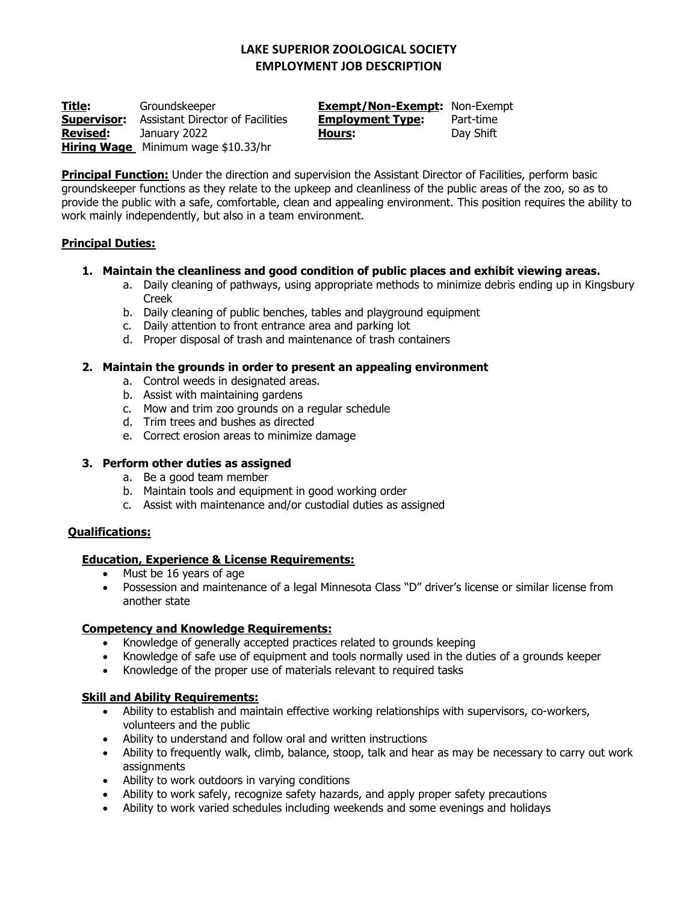# **LAKE SUPERIOR ZOOLOGICAL SOCIETY EMPLOYMENT JOB DESCRIPTION**

**Title:** Groundskeeper **Exempt/Non-Exempt:** Non-Exempt **Supervisor:** Assistant Director of Facilities **Employment Type:** Part-time **Revised:** January 2022 **Hours:** Day Shift **Hiring Wage** Minimum wage \$10.33/hr

**Principal Function:** Under the direction and supervision the Assistant Director of Facilities, perform basic groundskeeper functions as they relate to the upkeep and cleanliness of the public areas of the zoo, so as to provide the public with a safe, comfortable, clean and appealing environment. This position requires the ability to work mainly independently, but also in a team environment.

## **Principal Duties:**

### **1. Maintain the cleanliness and good condition of public places and exhibit viewing areas.**

- a. Daily cleaning of pathways, using appropriate methods to minimize debris ending up in Kingsbury Creek
- b. Daily cleaning of public benches, tables and playground equipment
- c. Daily attention to front entrance area and parking lot
- d. Proper disposal of trash and maintenance of trash containers

## **2. Maintain the grounds in order to present an appealing environment**

- a. Control weeds in designated areas.
- b. Assist with maintaining gardens
- c. Mow and trim zoo grounds on a regular schedule
- d. Trim trees and bushes as directed
- e. Correct erosion areas to minimize damage

### **3. Perform other duties as assigned**

- a. Be a good team member
- b. Maintain tools and equipment in good working order
- c. Assist with maintenance and/or custodial duties as assigned

### **Qualifications:**

### **Education, Experience & License Requirements:**

- Must be 16 years of age
- Possession and maintenance of a legal Minnesota Class "D" driver's license or similar license from another state

### **Competency and Knowledge Requirements:**

- Knowledge of generally accepted practices related to grounds keeping
- Knowledge of safe use of equipment and tools normally used in the duties of a grounds keeper
- Knowledge of the proper use of materials relevant to required tasks

### **Skill and Ability Requirements:**

- Ability to establish and maintain effective working relationships with supervisors, co-workers, volunteers and the public
- Ability to understand and follow oral and written instructions
- Ability to frequently walk, climb, balance, stoop, talk and hear as may be necessary to carry out work **assignments**
- Ability to work outdoors in varying conditions
- Ability to work safely, recognize safety hazards, and apply proper safety precautions
- Ability to work varied schedules including weekends and some evenings and holidays